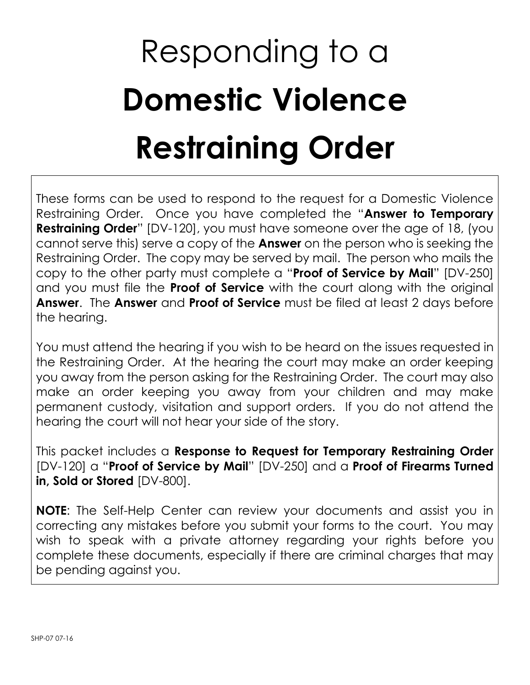## Responding to a **Domestic Violence Restraining Order**

These forms can be used to respond to the request for a Domestic Violence Restraining Order. Once you have completed the "**Answer to Temporary Restraining Order**" [DV-120], you must have someone over the age of 18, (you cannot serve this) serve a copy of the **Answer** on the person who is seeking the Restraining Order. The copy may be served by mail. The person who mails the copy to the other party must complete a "**Proof of Service by Mail**" [DV-250] and you must file the **Proof of Service** with the court along with the original **Answer**. The **Answer** and **Proof of Service** must be filed at least 2 days before the hearing.

You must attend the hearing if you wish to be heard on the issues requested in the Restraining Order. At the hearing the court may make an order keeping you away from the person asking for the Restraining Order. The court may also make an order keeping you away from your children and may make permanent custody, visitation and support orders. If you do not attend the hearing the court will not hear your side of the story.

This packet includes a **Response to Request for Temporary Restraining Order** [DV-120] a "**Proof of Service by Mail**" [DV-250] and a **Proof of Firearms Turned in, Sold or Stored** [DV-800].

**NOTE**: The Self-Help Center can review your documents and assist you in correcting any mistakes before you submit your forms to the court. You may wish to speak with a private attorney regarding your rights before you complete these documents, especially if there are criminal charges that may be pending against you.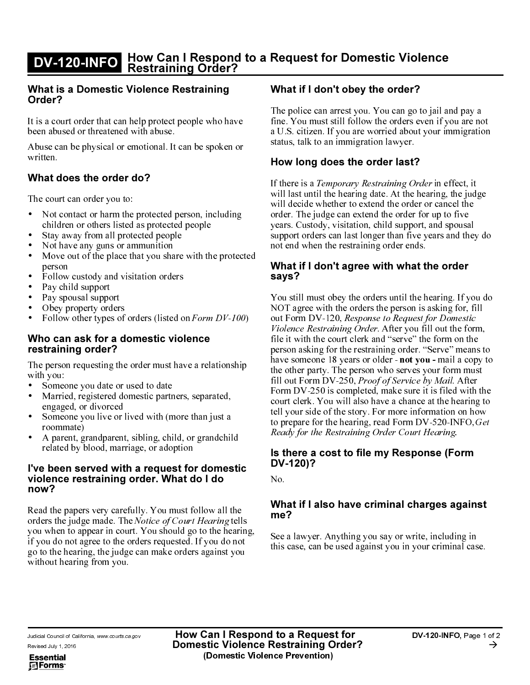## DV-120-INFO How Can I Respond to a Request for Domestic Violence Restraining Order?

## What is a Domestic Violence Restraining Order?

n is a count offer theotonod with obuse It is a court order that can help protect people who have been abused of threatened with abuse.

Abuse can be physical or emotional. It can be spoken or written.

## What does the order do?

The court can order you to:

- Not contact or harm the protected person, including children or others listed as protected people
- Stay away from all protected people
- $\bullet$ • Not have any guns or ammunition
- $\bullet$ • Move out of the place that you share with the protected person
- Follow custody and visitation orders
- $\bullet$ • Pay child support
- $\bullet$ • Pay spousal support
- $\bullet$ • Obey property orders
- $\bullet$ • Follow other types of orders (listed on  $\textit{Form }DV-100$ )

## Who can ask for a domestic violence restraining order?

The person requesting the order must have a relationship with you:

- Someone you date or used to date
- $\bullet$ Married, registered domestic partners, separated, engaged, or divorced
- Someone you live or lived with (more than just a roommate)
- A parent, grandparent, sibling, child, or grandchild related by blood, marriage, or adoption

## I've been served with a request for domestic violence restraining order. What do I do now?

Read the papers very carefully. You must follow all the ellari<br>ari<br>no<br>vol<br>**Reol** orders the judge made. The *Notice of Court Hearing* tells<br>you when to appear in court. You should go to the hearing, go to the head<br>1. If you do a<br>1. If you do a<br>ers against y<br>**w Can I R<br>mestic Vice (Domes** <sub>ot</sub><br>u<br>spendence<br>vi if you do not agree to the orders requested. If you do not go to the hearing, the judge can make orders against you without hearing from you.

## What if I don't obey the order?

The police can arrest you. You can go to jail and pay a fine. You must still follow the orders even if you are not a U.S. citizen. If you are worried about your immigration status, talk to an immigration lawyer.

## How long does the order last?

, it will last until the hearing date. At the hearing, the judge will decide whether to extend the order or cancel the order. The judge can extend the order for up to five years. Custody, visitation, child support, and spousal support orders can last longer than five years and they do not end when the restraining order ends.

## What if I don't agree with what the order says?

ven if you are not<br>your immigration<br>your immigration<br>your immigration<br>or up to five<br>t, and spousal<br>years and they<br>i.e., and spousal<br>years and they<br>i.e.<br>**the order**<br>hearing. If you<br>sasking for, fill<br>for Domestic<br>fill out th tt (1961年) 7.6 (1962) 1.6 (1962年) 1.6 (1961年) 1.7 (1962) 1.7 (1962) 1.7 (1962) 1.7 (1962) 1.7 (1962) 1.7 (1962) 1.7 (1962) 1.7 (1962) 1.7 (1962) 1.7 (1962) 1.7 (1962) 1.7 (1962) 1.7 (1962) 1.7 (1962) 1.7 (1962) 1.7 (1962) *rary Restraining Order* in effect<br>earing date. At the hearing, the jection<br>earing date. At the hearing, the just and the order or cancel than extend the order or cancel than extend the order for up to five<br>itation, child You still must obey the orders until the hearing. If you do ing for, fill<br>Domestic<br>ut the form,<br>ut the form,<br>rm on the<br>ve" means to<br>nail a copy to<br>form must<br>fail. After<br>filed with the<br>he hearing to<br>tion on how<br>20-INFO, *Get*<br>ring.<br>**Serving.**<br>**Serving.**<br>**Corm** NOT agree with the orders the person is asking for, fill *tic*<br>corm<br>the ans<br>copy<br>must tern in the loom<br>ins<br>ins<br>ins out Form DV-120, Response to Request for Domestic For<br>
lence<br>
it w son<br>
ye so other<br>
out m L you<br>
out m L you<br>
you<br> **the**<br>
12<br> **hat**<br>
2<br>
2<br>
a ls cas<br> **b a** l<br> **hat**<br> **nat**<br> **nat**<br> **nat**<br> **nat**<br> **nat** the for<br>
on the<br>
decomposition of the action<br>
decomposition of the action<br>
decomposition<br>
decomposition<br>
decomposition<br>
decomposition<br>
decomposition<br>
decomposition<br>
decomposition<br>
decomposition<br>
decomposition<br>
decompositio *lence Restraining Order.* Aft<br>it with the court clerk and "s<br>son asking for the restraining<br>e someone 18 years or older<br>other party. The person who<br>out Form DV-250, *Proof of S*<br>m DV-250 is completed, mal<br>rt clerk. You wi er you fill out the form, file it with the court clerk and "serve" the form on the person asking for the restraining order. "Serve" means to have someone 18 years or older **- not you -** mail a copy to<br>the other perty. The person who serves your form must **c** you - man a copy d<br>ves your form must fill out Form DV-250, *Proof of Service by Mail.* After<br>Form DV-250, *Proof of Service by Mail.* After  $\frac{1}{2}$   $\frac{1}{2}$   $\frac{1}{2}$   $\frac{1}{2}$   $\frac{1}{2}$   $\frac{1}{2}$   $\frac{1}{2}$   $\frac{1}{2}$   $\frac{1}{2}$   $\frac{1}{2}$   $\frac{1}{2}$   $\frac{1}{2}$   $\frac{1}{2}$   $\frac{1}{2}$   $\frac{1}{2}$   $\frac{1}{2}$   $\frac{1}{2}$   $\frac{1}{2}$   $\frac{1}{2}$   $\frac{1}{2}$   $\frac{1}{2}$   $\frac{1}{2}$  There by Mall. Alternation and the sure it is filed with the artimore information on<br>
a chance at the heart more information on<br>
d Form DV-520-INFC<br>
ler Court Hearing.<br> **Response (Forn**<br> **inal charges agai**<br>
wy or write, i For coutell to part of the second second in the second second in the second second in the second second second second second second second second second second second second second second second second second second second to  $x$  iet  $t$  :..  $\frac{1}{10}$  ...  $\frac{1}{2}$ y. For<br>g, rea<br>*ng Orc*<br>**le my**<br>**crim**<br>you saginst

## ead For<br>Order Contract Control<br> **my Respect Contract Control**<br>
stay or st you in Price, M<sub>S</sub>.<br> **Price, MS.**<br> **Price, MS.**<br> **Price, MS.**<br> **Price, MS.**<br> **Price, MS.**<br> **Price, MS.**<br> **Price, MS.**<br> **Price, MS.** Is there a cost to file my Response (Form DV-120)?

&

## 0-INFO, *Ge*<br>ing.<br>**(Form**<br>**s** against<br>luding in minal case.<br>NFO, Page 1 m DV-520-INFO, *Get*<br>ourt Hearing.<br>**sponse (Form**<br>charges against<br>write, including in<br>n your criminal case.<br>DV-120-INFO, Page 1 What if I also have criminal charges against me?

See a lawyer. Anything you say or write, including in this case, can be used against you in your criminal case.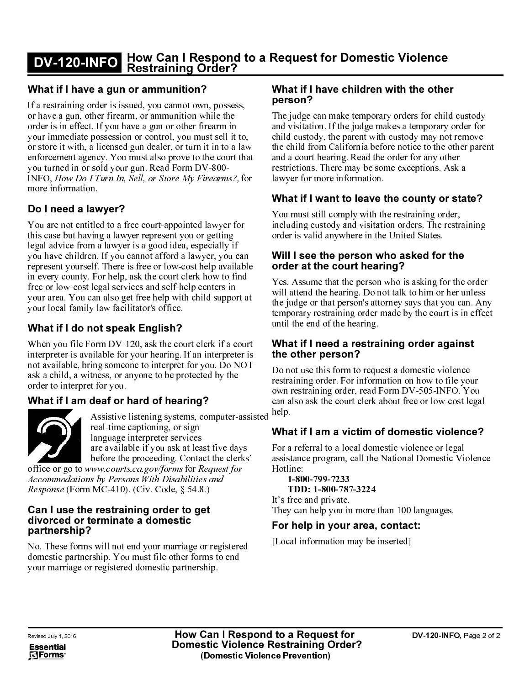## DV-120-INFO How Can I Respond to a Request for Domestic Violence Restraining Order?

## What if I have a gun or ammunition?

If a restraining order is issued, you cannot own, possess, or have a gun, other firearm, or ammunition while the order is in effect. If you have a gun or other firearm in your immediate possession or control, you must sell it to, or store it with, a licensed gun dealer, or turn it in to a law enforcement agency. You must also prove to the court that you turned in or sold your gun. Read Form DV-800- $\frac{1}{1}$  turn in, sett, or store my r trearms:, for more information. man<br>T # in m

## Do I need a lawyer?

on while the<br>
er firearm in<br>
in must sell it to<br>
it in to a la<br>
it is to the court th<br>
in DV-800-<br>
y Firearms?, fo<br>
ted lawyer for<br>
ted lawyer for<br>
ted lawyer for<br>
ted lawyer for<br>
ted lawyer for<br>
it is a collapse of the pa in internal internal internal internal internal internal internal internal internal internal internal internal<br>and internal internal internal internal internal internal internal internal internal internal internal internal ell it<br>to a<br>to a<br>court<br>on a court<br>on a<br>court is a<br>ly if a c<br>press is a<br>press in a<br>probably the<br>velocity the velocity<br>of a c<br>press is a<br>press in a<br>probably the velocity<br>of a c<br>press is a<br>condition of the velocity<br>of the vel avation in a mand taun is a search a mortal taun is a search of the search of the search of the search of the search of the search of the search of the search of the search of the search of the search of the search of the ourt that<br>
ollary that<br>
of the strain of the strain point at<br>
in the strain of the strain of the strain of the strain of the strain<br>
of the strain of the strain of the strain of the strain<br>
of the strain of the strain of t gun. Read For<br>Sell, or Store *I*<br>Sell, or Store *I*<br>present year and idea<br>is free or low-c<br>ask the court c<br>ices and self-her<br>at free help wit<br>litator's office.<br>**IX English?**<br>120, ask the cour hearing.<br>120, ask the cour hea My Firearm<br>
nted lawyer<br>
ou or gettin<br>
1, especially<br>
lawyer, yo<br>
ost help ava<br>
lerk how to<br>
lep centers<br>
lerk how to<br>
the proper<br>
of the proper<br>
of the proper<br>
of the proper<br>
ign<br>
ices<br>
the proper<br>
ign<br>
ices<br>
the proper<br> INFO, *Ho*<br>more info!<br>**Do I nee**<br>You are n<br>this case begal advisous have<br>represent in every c<br>free or lov<br>your area.<br>What if When you<br>interpreted availa<br>ask a child<br>order to ir<br>**What if**<br>**What if**<br>**Can I us<br>divorces**<br>**Can** You are not entitled to a free court-appointed lawyer for this case but having a lawyer represent you or getting  $\frac{1}{2}$   $\frac{1}{2}$   $\frac{1}{2}$   $\frac{1}{2}$   $\frac{1}{2}$   $\frac{1}{2}$   $\frac{1}{2}$   $\frac{1}{2}$   $\frac{1}{2}$   $\frac{1}{2}$   $\frac{1}{2}$   $\frac{1}{2}$   $\frac{1}{2}$   $\frac{1}{2}$   $\frac{1}{2}$   $\frac{1}{2}$   $\frac{1}{2}$   $\frac{1}{2}$   $\frac{1}{2}$   $\frac{1}{2}$   $\frac{1}{2}$   $\frac{1}{2}$  legal advice from a lawyer is a good idea, especially if annot afford a lawyer, you cannot afford a lawyer, you can self the availant of the court clerk how to fi<br>
designals the court clerk how to fi<br>
designals the court clerk how to fi<br>
designals the court clerk how to fi<br>
diff you have children. If you cannot afford a lawyer, you can or availably to find<br>the visible which the simulation of find<br>the simulation of the simulation of the simulation<br>of the simulation<br>of the simulation<br>of the simulation of the simulation<br>of the simulation<br>of the simulation<br>o represent yourself. There is free or low-cost help available in every county. For help, ask the court clerk how to find free or low-cost legal services and self-help centers in your area. You can also get free help with child support at your local family law facilitator's office.

## What if I do not speak English?

y. For<br>st lega<br>ily lav<br>ily lav<br>**not**<br>Form<br>wailat prom<br>bring with ass<br>real lang<br>are befor<br>www.<br>m MC<br>**ne re**<br>**tern**<br>**ne re**<br>**tern**<br>**ne re**<br>**tern**<br>**ne**<br>**re**<br>**real**<br>**ne**<br>**real**<br>**ne**<br>**real**<br>**ne**<br>**real**<br>**ne**<br>**real**<br>**ne**<br>**real**<br> When you file Form DV-120, ask the court clerk if a court When you file For<br>interpreter is avail<br>not available, bring<br>ask a child, a with<br>order to interpret f<br>**What if I am de<br>Manuscan de Santainer Constant of the Constant<br>office or go to www.<br>Accommodations I<br>Response (Form N<br><b>C** interpreter is available for your hearing. If an interpreter is not available, bring someone to interpret for you. Do NOT ask a child, a witness, or anyone to be protected by the order to interpret for you.

## What if I am deaf or hard of hearing?



)T<br>ssi<br>s,<br>p<br>m<br>l<br>vi exted by the<br>
g?<br>
computer-assi<br>
ast five days<br>
act the clerks'<br> *Request for*<br>
les and<br>
8.)<br>
get<br>
or registered<br>
rms to end<br>
rms to end<br>
rship.<br> **Can I Resp**<br> **sstic Violen**<br>
(Domestic Vi er-da<br>da lei*fo*<br>ternd<br>**Reio**<br>sti f or<br>stive<br>time<br>uage<br>avails responsive<br>and the count<br>strainat<br>l not<br>listere<br>istered in the state of the state of the state<br>istered in the state of the state of the state of the state<br>is the state of the state of the state Assistive listening systems, computer-assisted real-time captioning, or sign language interpreter services are available if you ask at least five days before the proceeding. Contact the clerks' k how to find<br>centers in<br>hild support at<br>clerk if a court<br>n interpreter is<br>you. Do NOT<br>cted by the<br>**g?**<br>computer-assi<br>ns<br>as five days<br>*Request for*<br>*les and*<br>.8.)<br>**get**<br>or registered<br>orms to end<br>rship.<br>**Can I Resp**<br>**sstic** Fragment and a counterful and the state of the state of the state of the state of the state of the state of the state of the state of the state of the state of the state of the state of the state of the state of the state ppo<br>f a c<br>prel) o l<br>/<br>/<br>uter e d:<br>e st f i<br><br>i ste<br><br>**I R**<br>i ste<br><br>**I R glish?**<br>sk the co<br>hearing.<br>interpret<br>interpret<br>to be provide a ling system of heading system<br>interpret and the Distribution Distribution<br>Code, Sorder 1<br>lomest<br>our marrifie other and the particular particular Distribution

office or go t Response (Form MC-410). (Civ. Code, § 54.8.)

## Can I use the restraining order to get divorced or terminate a domestic partnership?

o www.co<br>ions by P<sub>(</sub><br>orm MC-4<br>**the rest<br>pr termin**<br>p?<br>rms will r<br>thership. '<br>e or regist *Consider*<br> *Sons Will*<br>
(0). (Civ.<br> **aining cate a dentity of the distribution** isability<br>isability<br>isability<br>isability<br>estic<br>arriage<br>other for partne<br>**How**<br>Dome First am<br>*ies am*<br>.8.)<br>**get**<br>estic<br>restic<br>**Can**<br>**c**<br>**c**<br>**c**<br>**c**<br>**c**<br>**c** e<br>|<br>|<br>|<br>|C (Civ. Code, § 54.8.)<br> **ing order to get<br>
a domestic**<br>
a **domestic**<br>
must file other forms to<br>
domestic partnership.<br> **How Can**<br> **Domestic**<br>
(Dom nse (For<br>**luse tleed on**<br>**lership**<br>hese forr<br>stic partr<br>arriage<br>arriage<br>**luses on the part of the part of the part**<br>**luses**<br>**lust**<br>**luses** 

## What if I have children with the other person?

The judge can make temporary orders for child custody for<br>the space<br>of the space<br>of the space<br>of the space<br>of the space<br>of the space<br>of the space<br>of the space<br>of the space<br>of the space<br>of the space<br>of the space<br>of the space<br>of the space 2 and visitation. If the judge makes a temporary order for child custody, the parent with custody may not remove the child from California before notice to the other parent and a court hearing. Read the order for any other restrictions. There may be some exceptions. Ask a lawyer for more information.

## What if I want to leave the county or state?

You must still comply with the restraining order, including custody and visitation orders. The restraining order is valid anywhere in the United States.

## Will I see the person who asked for the order at the court hearing?

ner par<br>
i a<br>
i a<br> **tate?**<br>
,<br>
raining<br> **e**<br>
ne orde<br>
unles.<br>
can. A<br>
in efferts and the pour<br>
Nour<br>
Nour<br>
st lega<br>
al<br>
Wiolen<br> **pour<br>
pour**<br>
pour<br>
al **nty or sta**<br>ing order,<br>The restra<br>tates.<br>**d for the**<br>imp or her underporting the unity of the court is in<br>**ler again**s<br>stic violenc by 05-INFO.<br>Yor low-cost<br>**tic violen**<br>nce or legal<br>omestic Vi<br>bomestic Violence or legal ve the tistation the district of the distribution of the distribution of the distribution of the distribution of the distribution of the distribution of the distribution of the distribution of the distribution of the distr e order<br>
unless<br>
an. Ar<br>
in effe<br> **nst**<br>
ce<br>
your<br>
You<br>
I legal<br> **nce?**<br>
l<br>
jolenc<br>
page 2  $f$  o  $f$  or  $f$  or  $f$  or  $f$  or  $f$  o  $f$  o  $f$  o  $f$  o  $f$  o  $f$  o  $f$  o  $f$  o  $f$  o  $f$  o  $f$  o  $f$  o  $f$  o  $f$  o  $f$  o  $f$  o  $f$  o  $f$  o  $f$  o  $f$  o  $f$  o  $f$  o  $f$  o  $f$  o  $f$  o  $f$  o  $f$  o  $f$  o  $f$  o  $f$  o  $f$  o Yes. Assume that the person who is asking for the order will attend the hearing. Do not talk to him or her unless the judge or that person's attorney says that you can. Any temporary restraining order made by the court is in effect until the end of the hearing.

## What if I need a restraining order against the other person?

Do not use this form to request a domestic violence restraining order. For information on how to file your can also ask the court clerk about free or low-cost legal help.

## What if I am a victim of domestic violence?

m DV-505-INFO. You<br>
ut free or low-cost lega<br> **lomestic violence**<br>
ic violence or legal<br>
tional Domestic Violer<br>
100 languages.<br> **ntact:**<br>
rted]<br>
DV-120-INFO, Page **COMPRESS**<br>Colence 2 For a referral to a local domestic violence or legal tic Vi<br>es.<br>NFO, assistance program, call the National Domestic Violence es.<br>NFO, Page 2 c Hotline  $\mathbf{B}$ 

ead For<br>
lerk abo<br> **m of d**<br>
domest<br>
l the Na<br>
224<br>
ore thar<br> **ea, co**<br>
be inse What<br>
For a<br>
assis<br>
Hotli<br>
It's f<br>
It's f<br> **For**<br>
[Locat<br> **to asside Property** For<br>assi<br>Hot<br>It's **Fo**<br>Lo<br>Lo<br>**to**<br>ce l  $1-800-799-7233$ =-TDD: 1-800-78 free and private They can help you in more than 100 languages.

# contact:<br>
nserted]<br>
DV-120-INF For help in your area, contact:

[Local information may be inserted]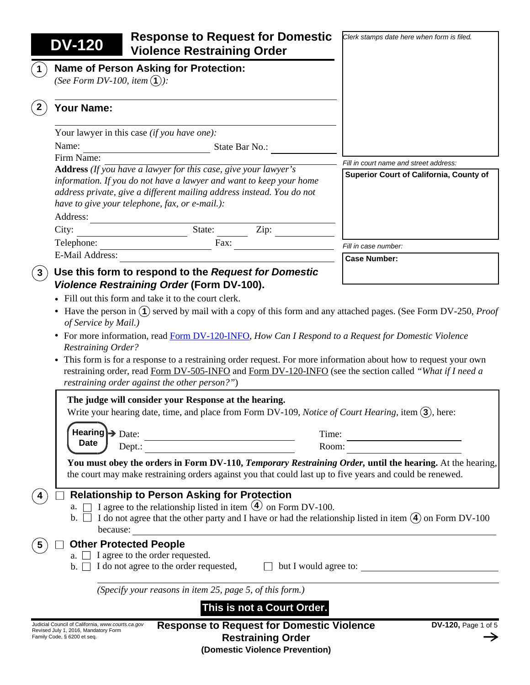| <b>DV-120</b>                             | <b>Response to Request for Domestic</b><br><b>Violence Restraining Order</b>                                                                                                                                                                                                                                                                                                        | Clerk stamps date here when form is filed.                 |
|-------------------------------------------|-------------------------------------------------------------------------------------------------------------------------------------------------------------------------------------------------------------------------------------------------------------------------------------------------------------------------------------------------------------------------------------|------------------------------------------------------------|
| (See Form DV-100, item $(1)$ ):           | <b>Name of Person Asking for Protection:</b>                                                                                                                                                                                                                                                                                                                                        |                                                            |
| Your Name:                                |                                                                                                                                                                                                                                                                                                                                                                                     |                                                            |
|                                           | Your lawyer in this case (if you have one):                                                                                                                                                                                                                                                                                                                                         |                                                            |
| Name:                                     | State Bar No.:                                                                                                                                                                                                                                                                                                                                                                      |                                                            |
| Firm Name:                                |                                                                                                                                                                                                                                                                                                                                                                                     | Fill in court name and street address:                     |
| Address:                                  | <b>Address</b> (If you have a lawyer for this case, give your lawyer's<br>information. If you do not have a lawyer and want to keep your home<br>address private, give a different mailing address instead. You do not<br>have to give your telephone, fax, or e-mail.):                                                                                                            | Superior Court of California, County of                    |
| City:                                     | State:<br>Zip:                                                                                                                                                                                                                                                                                                                                                                      |                                                            |
| Telephone:                                | Fax:                                                                                                                                                                                                                                                                                                                                                                                | Fill in case number:                                       |
| <b>E-Mail Address:</b>                    |                                                                                                                                                                                                                                                                                                                                                                                     | <b>Case Number:</b>                                        |
| <b>Restraining Order?</b>                 | • For more information, read Form DV-120-INFO, How Can I Respond to a Request for Domestic Violence<br>• This form is for a response to a restraining order request. For more information about how to request your own<br>restraining order, read Form DV-505-INFO and Form DV-120-INFO (see the section called "What if I need a<br>restraining order against the other person?") |                                                            |
|                                           | The judge will consider your Response at the hearing.<br>Write your hearing date, time, and place from Form DV-109, Notice of Court Hearing, item $(3)$ , here:                                                                                                                                                                                                                     |                                                            |
| Date                                      |                                                                                                                                                                                                                                                                                                                                                                                     | Time:<br><u> 1989 - Johann Barnett, fransk politiker (</u> |
|                                           | Dept.:                                                                                                                                                                                                                                                                                                                                                                              | Room:                                                      |
|                                           | You must obey the orders in Form DV-110, Temporary Restraining Order, until the hearing. At the hearing,<br>the court may make restraining orders against you that could last up to five years and could be renewed.                                                                                                                                                                |                                                            |
| a. ∣∃<br>$b.$ $\vert \ \vert$<br>because: | <b>Relationship to Person Asking for Protection</b><br>I agree to the relationship listed in item $(4)$ on Form DV-100.<br>I do not agree that the other party and I have or had the relationship listed in item $(4)$ on Form DV-100                                                                                                                                               |                                                            |
| <b>Other Protected People</b>             |                                                                                                                                                                                                                                                                                                                                                                                     |                                                            |
|                                           | a. $\Box$ I agree to the order requested.<br>b. $\Box$ I do not agree to the order requested,                                                                                                                                                                                                                                                                                       | $\Box$ but I would agree to:                               |
|                                           | (Specify your reasons in item 25, page 5, of this form.)                                                                                                                                                                                                                                                                                                                            |                                                            |
|                                           |                                                                                                                                                                                                                                                                                                                                                                                     | This is not a Court Order.                                 |

Judicial Council of California, *www.courts.ca.gov* Revised July 1, 2016, Mandatory Form Family Code, § 6200 et seq.

**Restraining Order (Domestic Violence Prevention)**  $\rightarrow$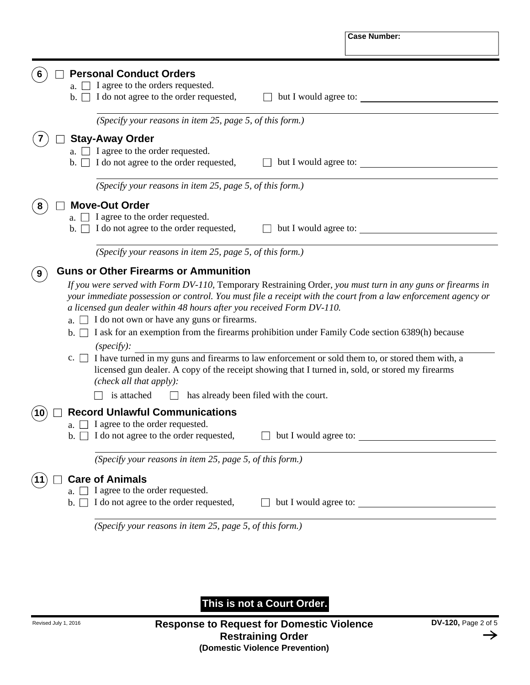|                      |                                                                                                                                                                                                                                                                                                                                                                                                                                                                                                                                                                                                                                                                                                                                                                                                 |                       | <b>Case Number:</b>   |
|----------------------|-------------------------------------------------------------------------------------------------------------------------------------------------------------------------------------------------------------------------------------------------------------------------------------------------------------------------------------------------------------------------------------------------------------------------------------------------------------------------------------------------------------------------------------------------------------------------------------------------------------------------------------------------------------------------------------------------------------------------------------------------------------------------------------------------|-----------------------|-----------------------|
|                      | <b>Personal Conduct Orders</b>                                                                                                                                                                                                                                                                                                                                                                                                                                                                                                                                                                                                                                                                                                                                                                  |                       |                       |
| b.                   | a. $\Box$ I agree to the orders requested.<br>$\Box$ I do not agree to the order requested,                                                                                                                                                                                                                                                                                                                                                                                                                                                                                                                                                                                                                                                                                                     | but I would agree to: |                       |
|                      | (Specify your reasons in item 25, page 5, of this form.)                                                                                                                                                                                                                                                                                                                                                                                                                                                                                                                                                                                                                                                                                                                                        |                       |                       |
|                      | <b>Stay-Away Order</b>                                                                                                                                                                                                                                                                                                                                                                                                                                                                                                                                                                                                                                                                                                                                                                          |                       |                       |
| b. I                 | $\Box$ I agree to the order requested.<br>$\Box$ I do not agree to the order requested,                                                                                                                                                                                                                                                                                                                                                                                                                                                                                                                                                                                                                                                                                                         | but I would agree to: |                       |
|                      | (Specify your reasons in item 25, page 5, of this form.)                                                                                                                                                                                                                                                                                                                                                                                                                                                                                                                                                                                                                                                                                                                                        |                       |                       |
|                      | <b>Move-Out Order</b>                                                                                                                                                                                                                                                                                                                                                                                                                                                                                                                                                                                                                                                                                                                                                                           |                       |                       |
|                      | a. $\Box$ I agree to the order requested.                                                                                                                                                                                                                                                                                                                                                                                                                                                                                                                                                                                                                                                                                                                                                       |                       |                       |
|                      | b. $\Box$ I do not agree to the order requested,                                                                                                                                                                                                                                                                                                                                                                                                                                                                                                                                                                                                                                                                                                                                                |                       | but I would agree to: |
|                      | (Specify your reasons in item 25, page 5, of this form.)                                                                                                                                                                                                                                                                                                                                                                                                                                                                                                                                                                                                                                                                                                                                        |                       |                       |
|                      | If you were served with Form DV-110, Temporary Restraining Order, you must turn in any guns or firearms in<br>your immediate possession or control. You must file a receipt with the court from a law enforcement agency or<br>a licensed gun dealer within 48 hours after you received Form DV-110.<br>a. $\Box$ I do not own or have any guns or firearms.<br>b. $\Box$ I ask for an exemption from the firearms prohibition under Family Code section 6389(h) because<br>$(specify)$ :<br>c. $\Box$ I have turned in my guns and firearms to law enforcement or sold them to, or stored them with, a<br>licensed gun dealer. A copy of the receipt showing that I turned in, sold, or stored my firearms<br>(check all that apply):<br>is attached<br>has already been filed with the court. |                       |                       |
|                      | <b>Record Unlawful Communications</b>                                                                                                                                                                                                                                                                                                                                                                                                                                                                                                                                                                                                                                                                                                                                                           |                       |                       |
| $b.$ $\vert \ \vert$ | a. $\Box$ I agree to the order requested.<br>I do not agree to the order requested,                                                                                                                                                                                                                                                                                                                                                                                                                                                                                                                                                                                                                                                                                                             |                       | but I would agree to: |
|                      | (Specify your reasons in item 25, page 5, of this form.)                                                                                                                                                                                                                                                                                                                                                                                                                                                                                                                                                                                                                                                                                                                                        |                       |                       |
| b.                   | <b>Care of Animals</b><br>I agree to the order requested.<br>I do not agree to the order requested,                                                                                                                                                                                                                                                                                                                                                                                                                                                                                                                                                                                                                                                                                             |                       | but I would agree to: |
|                      | (Specify your reasons in item 25, page 5, of this form.)                                                                                                                                                                                                                                                                                                                                                                                                                                                                                                                                                                                                                                                                                                                                        |                       |                       |

**This is not a Court Order.**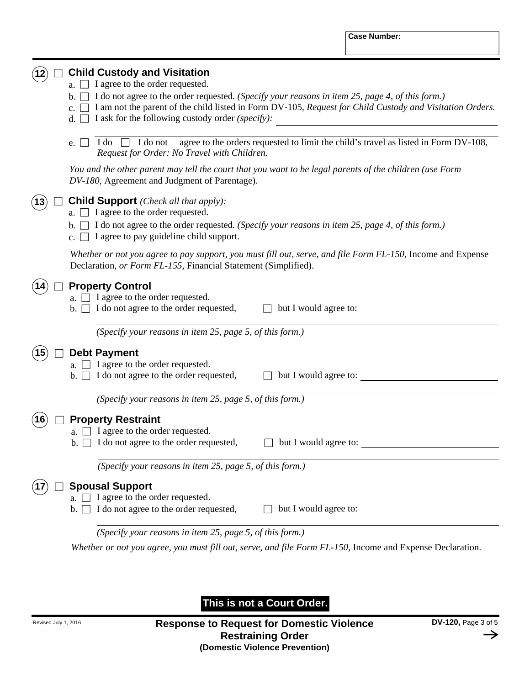## **12 Child Custody and Visitation**

- a. I agree to the order requested.
- b. I do not agree to the order requested. *(Specify your reasons in item 25, page 4, of this form.)*
- c. I am not the parent of the child listed in Form DV-105, *Request for Child Custody and Visitation Orders.*
- d. I ask for the following custody order *(specify):*
- e.  $\Box$  I do  $\Box$  I do not agree to the orders requested to limit the child's travel as listed in Form DV-108, *Request for Order: No Travel with Children.*

*You and the other parent may tell the court that you want to be legal parents of the children (use Form DV-180,* Agreement and Judgment of Parentage).

## $(13)$ **Child Support** *(Check all that apply):*

- a. I agree to the order requested.
- b. I do not agree to the order requested. *(Specify your reasons in item 25, page 4, of this form.)*
- c.  $\Box$  I agree to pay guideline child support.

Whether or not you agree to pay support, you must fill out, serve, and file Form FL-150, Income and Expense Declaration, *or Form FL-155,* Financial Statement (Simplified).

## **14 Property Control**

- a.  $\Box$  I agree to the order requested.
- $\mathbf{b}$ .  $\Box$  I do not agree to the order requested,  $\Box$  but I would agree to:

*(Specify your reasons in item 25, page 5, of this form.)*

## 15) **Debt Payment**

- a.  $\Box$  I agree to the order requested.
- $b.$  I do not agree to the order requested, but I would agree to:

*(Specify your reasons in item 25, page 5, of this form.)*

## **Property Restraint 16**

- a.  $\Box$  I agree to the order requested.
- $b. \Box$  I do not agree to the order requested,

□ but I would agree to:

*(Specify your reasons in item 25, page 5, of this form.)*

## **Spousal Support**

- a.  $\Box$  I agree to the order requested.
- $\mathbf{b}$ .  $\Box$  I do not agree to the order requested,  $\Box$  but I would agree to:

*(Specify your reasons in item 25, page 5, of this form.)*

*Whether or not you agree, you must fill out, serve, and file Form FL-150, Income and Expense Declaration.* 

**This is not a Court Order.**

**17**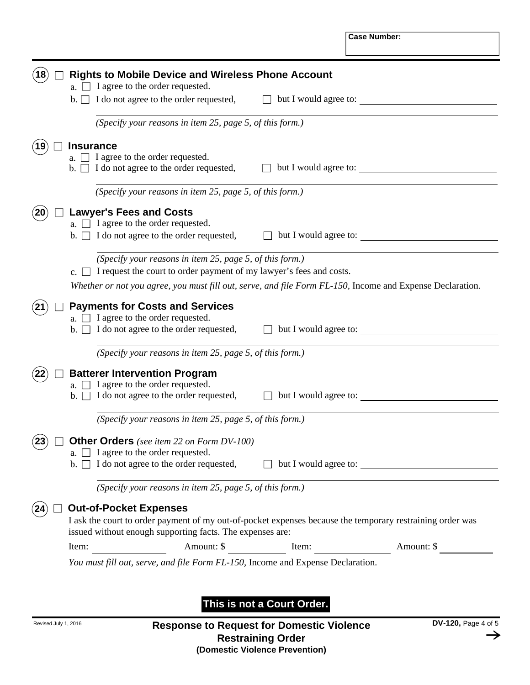|                | a. $\Box$ I agree to the order requested.                                                     |                                                                                                           |
|----------------|-----------------------------------------------------------------------------------------------|-----------------------------------------------------------------------------------------------------------|
| $\mathbf{b}$ . | $\Box$ I do not agree to the order requested,                                                 | but I would agree to:                                                                                     |
|                | (Specify your reasons in item 25, page 5, of this form.)                                      |                                                                                                           |
|                | <b>Insurance</b>                                                                              |                                                                                                           |
|                | a. $\Box$ I agree to the order requested.<br>b. $\Box$ I do not agree to the order requested, | but I would agree to:                                                                                     |
|                | (Specify your reasons in item 25, page 5, of this form.)                                      |                                                                                                           |
|                | <b>Lawyer's Fees and Costs</b>                                                                |                                                                                                           |
|                | a. $\Box$ I agree to the order requested.                                                     |                                                                                                           |
|                | b. $\Box$ I do not agree to the order requested,                                              | $\Box$ but I would agree to:                                                                              |
|                | (Specify your reasons in item 25, page 5, of this form.)                                      |                                                                                                           |
| $c.$           | I request the court to order payment of my lawyer's fees and costs.                           |                                                                                                           |
|                |                                                                                               | Whether or not you agree, you must fill out, serve, and file Form FL-150, Income and Expense Declaration. |
|                | <b>Payments for Costs and Services</b>                                                        |                                                                                                           |
|                | a. $\Box$ I agree to the order requested.                                                     |                                                                                                           |
|                | b. $\Box$ I do not agree to the order requested,                                              | $\Box$ but I would agree to:                                                                              |
|                | (Specify your reasons in item 25, page 5, of this form.)                                      |                                                                                                           |
|                | <b>Batterer Intervention Program</b>                                                          |                                                                                                           |
|                |                                                                                               |                                                                                                           |
| a. I           | $\Box$ I agree to the order requested.                                                        |                                                                                                           |
| $b. \perp$     | I do not agree to the order requested,                                                        | but I would agree to:                                                                                     |
|                | (Specify your reasons in item 25, page 5, of this form.)                                      |                                                                                                           |
|                | <b>Other Orders</b> (see item 22 on Form DV-100)                                              |                                                                                                           |
|                | a. $\Box$ I agree to the order requested.                                                     |                                                                                                           |
| $\mathbf{b}$ . |                                                                                               |                                                                                                           |
|                | (Specify your reasons in item 25, page 5, of this form.)                                      |                                                                                                           |
|                | <b>Out-of-Pocket Expenses</b>                                                                 |                                                                                                           |
|                |                                                                                               | I ask the court to order payment of my out-of-pocket expenses because the temporary restraining order was |
|                | issued without enough supporting facts. The expenses are:                                     |                                                                                                           |

**This is not a Court Order.**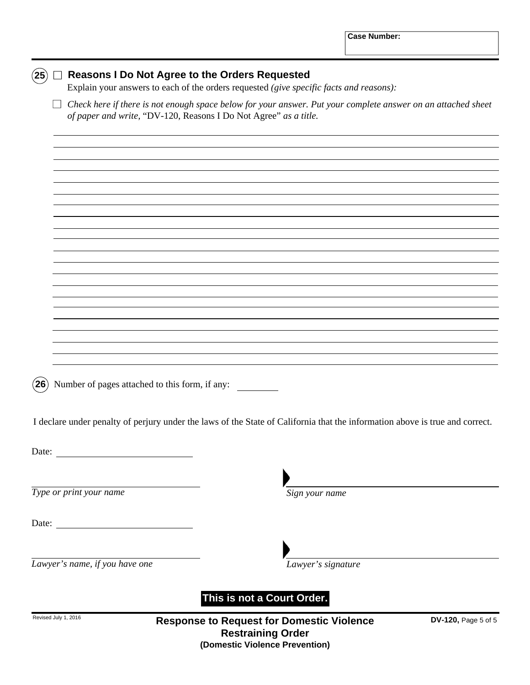| $({\bf 25})$         | <b>Reasons I Do Not Agree to the Orders Requested</b><br>Explain your answers to each of the orders requested (give specific facts and reasons):                                 |
|----------------------|----------------------------------------------------------------------------------------------------------------------------------------------------------------------------------|
|                      | Check here if there is not enough space below for your answer. Put your complete answer on an attached sheet<br>of paper and write, "DV-120, Reasons I Do Not Agree" as a title. |
|                      |                                                                                                                                                                                  |
|                      |                                                                                                                                                                                  |
|                      |                                                                                                                                                                                  |
|                      |                                                                                                                                                                                  |
|                      |                                                                                                                                                                                  |
|                      |                                                                                                                                                                                  |
|                      |                                                                                                                                                                                  |
|                      |                                                                                                                                                                                  |
|                      |                                                                                                                                                                                  |
|                      |                                                                                                                                                                                  |
| $({\bf 26})$         | Number of pages attached to this form, if any:                                                                                                                                   |
|                      | I declare under penalty of perjury under the laws of the State of California that the information above is true and correct.                                                     |
| Date:                |                                                                                                                                                                                  |
|                      |                                                                                                                                                                                  |
|                      | Type or print your name<br>Sign your name                                                                                                                                        |
| Date:                |                                                                                                                                                                                  |
|                      |                                                                                                                                                                                  |
|                      | Lawyer's name, if you have one<br>Lawyer's signature                                                                                                                             |
|                      | This is not a Court Order.                                                                                                                                                       |
| Revised July 1, 2016 | <b>Response to Request for Domestic Violence</b><br>DV-120, Page 5 of 5<br><b>Restraining Order</b>                                                                              |

**Restraining Order (Domestic Violence Prevention)**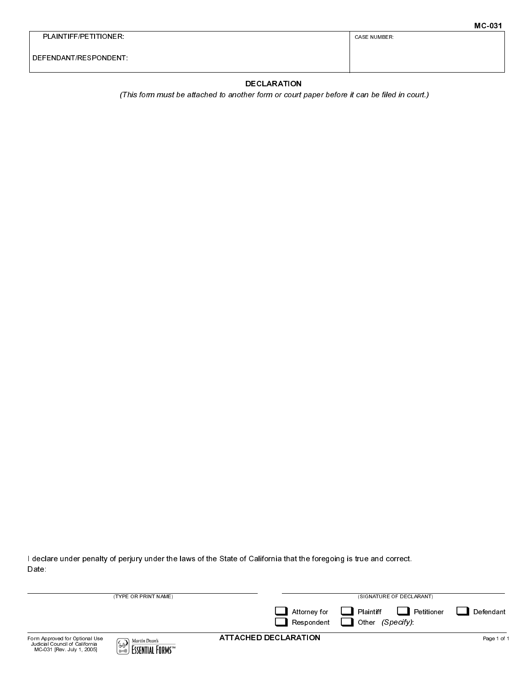|                      | <b>MC-031</b>       |
|----------------------|---------------------|
| PLAINTIFF/PETITIONER | <b>CASE NUMBER:</b> |
| DEFENDANT/RESPONDENT |                     |

## **DECLARATION**

(This form must be attached to another form or court paper before it can be filed in court.)

I declare under penalty of perjury under the laws of the State of California that the foregoing is true and correct. Date:

| (TYPE OR PRINT NAME)                                                                           |                                                     |                             | (SIGNATURE OF DECLARANT)                             |             |  |
|------------------------------------------------------------------------------------------------|-----------------------------------------------------|-----------------------------|------------------------------------------------------|-------------|--|
|                                                                                                |                                                     | Attorney for<br>Respondent  | <b>Letitioner</b><br>Plaintiff<br>(Specify)<br>Other | Defendant   |  |
| Form Approved for Optional Use<br>Judicial Council of California<br>MC-031 [Rev. July 1, 2005] | Martin Dean's<br>∤∕ିଙ<br>FSSENTIAL FORMS™<br>\$8000 | <b>ATTACHED DECLARATION</b> |                                                      | Page 1 of 1 |  |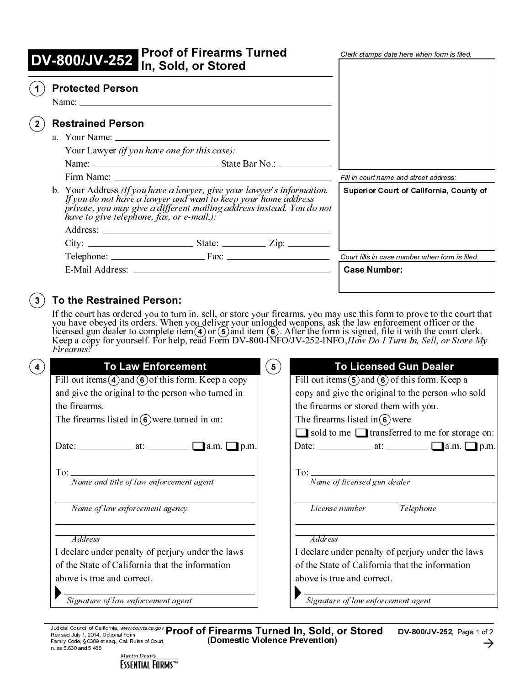| <b>I Proof of Firearms Turned</b><br>DV-800/JV-252 In, Sold, or Stored                                                                                                                                                                                                                                                                                                                        | Clerk stamps date here when form is filed.     |
|-----------------------------------------------------------------------------------------------------------------------------------------------------------------------------------------------------------------------------------------------------------------------------------------------------------------------------------------------------------------------------------------------|------------------------------------------------|
| <b>Protected Person</b><br>Name: $\frac{1}{2}$ Name: $\frac{1}{2}$ Name: $\frac{1}{2}$ Name: $\frac{1}{2}$ Name: $\frac{1}{2}$ Name: $\frac{1}{2}$ Name: $\frac{1}{2}$ Name: $\frac{1}{2}$ Name: $\frac{1}{2}$ Name: $\frac{1}{2}$ Name: $\frac{1}{2}$ Name: $\frac{1}{2}$ Name: $\frac{1}{2}$ Name: $\frac{1}{2$                                                                             |                                                |
| <b>Restrained Person</b>                                                                                                                                                                                                                                                                                                                                                                      |                                                |
|                                                                                                                                                                                                                                                                                                                                                                                               |                                                |
| Your Lawyer <i>(if you have one for this case)</i> :                                                                                                                                                                                                                                                                                                                                          |                                                |
| Name: Name: Name: Name: Name: Name: Name: Name: Name: Name: Name: Name: Name: Name: Name: Name: Name: Name: Name: Name: Name: Name: Name: Name: Name: Name: Name: Name: Name: Name: Name: Name: Name: Name: Name: Name: Name:                                                                                                                                                                 |                                                |
|                                                                                                                                                                                                                                                                                                                                                                                               | Fill in court name and street address:         |
| b. Your Address $(If you have a lawyer, give your lawyer's information.$<br>If you do not have a lawyer and want to keep your home address<br>private, you may give a different mailing address instead. You do not<br>have to give telephone, fax, or e-mail.                                                                                                                                | <b>Superior Court of California, County of</b> |
|                                                                                                                                                                                                                                                                                                                                                                                               |                                                |
|                                                                                                                                                                                                                                                                                                                                                                                               |                                                |
| $Telephone:$ $\qquad \qquad \qquad$ $\qquad \qquad$ $\qquad \qquad$ $\qquad \qquad$ $\qquad \qquad$ $\qquad \qquad$ $\qquad \qquad$ $\qquad \qquad$ $\qquad \qquad$ $\qquad \qquad$ $\qquad \qquad$ $\qquad \qquad$ $\qquad \qquad$ $\qquad \qquad$ $\qquad \qquad$ $\qquad \qquad$ $\qquad \qquad$ $\qquad$ $\qquad$ $\qquad$ $\qquad$ $\qquad$ $\qquad$ $\qquad$ $\qquad$ $\qquad$ $\qquad$ | Court fills in case number when form is filed. |
|                                                                                                                                                                                                                                                                                                                                                                                               | <b>Case Number:</b>                            |

## To the Restrained Person: Į.

|                                                 | If you do not have a lawyer and want to keep your home address<br>private, you may give a different mailing address instead. You do not<br>have to give telephone, fax, or e-mail.):<br>Telephone: Fax: Fax:                                                                                       | Court fills in case number when form is filed.                                                                                                                                                                                     |
|-------------------------------------------------|----------------------------------------------------------------------------------------------------------------------------------------------------------------------------------------------------------------------------------------------------------------------------------------------------|------------------------------------------------------------------------------------------------------------------------------------------------------------------------------------------------------------------------------------|
| $\left( \begin{array}{c} 3 \end{array} \right)$ | E-Mail Address: 2008 Case Number:<br>To the Restrained Person:<br>If the court has ordered you to turn in, sell, or store your firearms, you may use this form to prove to the court that<br>you have obeyed its orders. When you deliver your unloaded weapons, ask the law enforcement officer o |                                                                                                                                                                                                                                    |
| (4)                                             | <b>To Law Enforcement</b><br>$\left( \begin{matrix} 5 \end{matrix} \right)$<br>Fill out items $\bigcirc$ and $\bigcirc$ of this form. Keep a copy<br>and give the original to the person who turned in<br>the firearms.<br>The firearms listed in $\circledast$ were turned in on:                 | <b>To Licensed Gun Dealer</b><br>Fill out items $(5)$ and $(6)$ of this form. Keep a<br>copy and give the original to the person who sold<br>the firearms or stored them with you.<br>The firearms listed in $\left(6\right)$ were |
|                                                 | To: Name and title of law enforcement agent                                                                                                                                                                                                                                                        | $\Box$ sold to me $\Box$ transferred to me for storage on:<br>To: Name of licensed gun dealer                                                                                                                                      |
|                                                 | Name of law enforcement agency<br>Address<br>I declare under penalty of perjury under the laws<br>of the State of California that the information<br>above is true and correct.                                                                                                                    | License number Telephone<br>Address<br>I declare under penalty of perjury under the laws<br>of the State of California that the information<br>above is true and correct.                                                          |
|                                                 | Signature of law enforcement agent<br>Judicial Council of California, www.courts.ca.gov Proof of Firearms Turned In, Sold, or Stored<br>Revised July 1, 2014, Optional Form<br>(Domestic Violence Prevention)<br>Family Code, § 6389 et seq., Cal. Rules of Court,<br>rules 5.630 and 5.488        | Signature of law enforcement agent<br>DV-800/JV-252, Page 1 of 2<br>→                                                                                                                                                              |
|                                                 | Martin Dean's<br><b>ESSENTIAL FORMS™</b>                                                                                                                                                                                                                                                           |                                                                                                                                                                                                                                    |
|                                                 |                                                                                                                                                                                                                                                                                                    |                                                                                                                                                                                                                                    |
|                                                 |                                                                                                                                                                                                                                                                                                    |                                                                                                                                                                                                                                    |
|                                                 |                                                                                                                                                                                                                                                                                                    |                                                                                                                                                                                                                                    |
|                                                 |                                                                                                                                                                                                                                                                                                    |                                                                                                                                                                                                                                    |
|                                                 |                                                                                                                                                                                                                                                                                                    |                                                                                                                                                                                                                                    |
|                                                 |                                                                                                                                                                                                                                                                                                    |                                                                                                                                                                                                                                    |
|                                                 |                                                                                                                                                                                                                                                                                                    |                                                                                                                                                                                                                                    |
|                                                 |                                                                                                                                                                                                                                                                                                    |                                                                                                                                                                                                                                    |
|                                                 |                                                                                                                                                                                                                                                                                                    |                                                                                                                                                                                                                                    |
|                                                 |                                                                                                                                                                                                                                                                                                    |                                                                                                                                                                                                                                    |
|                                                 |                                                                                                                                                                                                                                                                                                    |                                                                                                                                                                                                                                    |
|                                                 |                                                                                                                                                                                                                                                                                                    |                                                                                                                                                                                                                                    |
|                                                 |                                                                                                                                                                                                                                                                                                    |                                                                                                                                                                                                                                    |
|                                                 |                                                                                                                                                                                                                                                                                                    |                                                                                                                                                                                                                                    |
|                                                 |                                                                                                                                                                                                                                                                                                    |                                                                                                                                                                                                                                    |
|                                                 |                                                                                                                                                                                                                                                                                                    |                                                                                                                                                                                                                                    |
|                                                 |                                                                                                                                                                                                                                                                                                    |                                                                                                                                                                                                                                    |
|                                                 |                                                                                                                                                                                                                                                                                                    |                                                                                                                                                                                                                                    |
|                                                 |                                                                                                                                                                                                                                                                                                    |                                                                                                                                                                                                                                    |
|                                                 |                                                                                                                                                                                                                                                                                                    |                                                                                                                                                                                                                                    |
|                                                 |                                                                                                                                                                                                                                                                                                    |                                                                                                                                                                                                                                    |
|                                                 |                                                                                                                                                                                                                                                                                                    |                                                                                                                                                                                                                                    |
|                                                 |                                                                                                                                                                                                                                                                                                    |                                                                                                                                                                                                                                    |
|                                                 |                                                                                                                                                                                                                                                                                                    |                                                                                                                                                                                                                                    |
|                                                 |                                                                                                                                                                                                                                                                                                    |                                                                                                                                                                                                                                    |
|                                                 |                                                                                                                                                                                                                                                                                                    |                                                                                                                                                                                                                                    |
|                                                 |                                                                                                                                                                                                                                                                                                    |                                                                                                                                                                                                                                    |

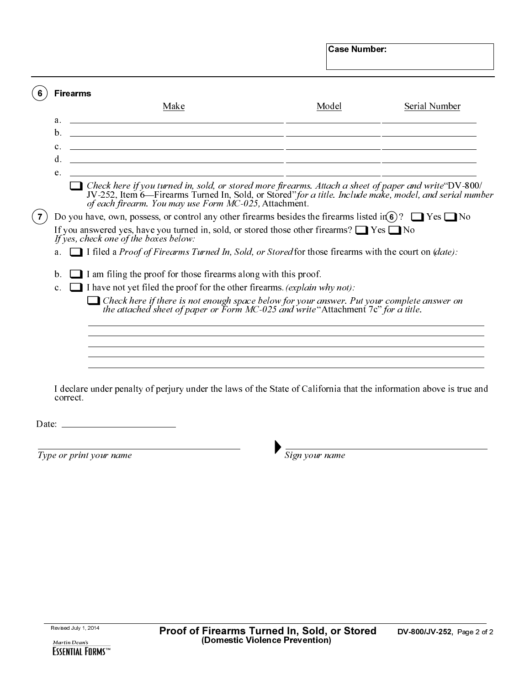|                                                                                                                                                                                                                                                                                     | <b>Case Number:</b> |                      |
|-------------------------------------------------------------------------------------------------------------------------------------------------------------------------------------------------------------------------------------------------------------------------------------|---------------------|----------------------|
|                                                                                                                                                                                                                                                                                     |                     |                      |
| <b>Firearms</b>                                                                                                                                                                                                                                                                     |                     |                      |
| Make                                                                                                                                                                                                                                                                                | Model               | <b>Serial Number</b> |
| a.                                                                                                                                                                                                                                                                                  |                     |                      |
| <u> 1989 - Jan Samuel Barbara, margaret eta biztanleria (h. 1989).</u><br>b.                                                                                                                                                                                                        |                     |                      |
| c.<br><u> 1980 - Andrea State Barbara, amerikan personal di sebagai personal di sebagai personal di sebagai personal d</u><br>d.                                                                                                                                                    |                     |                      |
| e.                                                                                                                                                                                                                                                                                  |                     |                      |
| Check here if you turned in, sold, or stored more firearms. Attach a sheet of paper and write $\text{`DV-800'}$<br>JV-252, Item 6—Firearms Turned In, Sold, or Stored" for a title. Include make, model, and serial number<br>of each firearm. You may use Form MC-025, Attachment. |                     |                      |
| Do you have, own, possess, or control any other firearms besides the firearms listed in $\frac{1}{6}$ ? $\Box$ Yes $\Box$ No                                                                                                                                                        |                     |                      |
| If you answered yes, have you turned in, sold, or stored those other firearms? $\Box$ Yes $\Box$ No<br>If yes, check one of the boxes below:                                                                                                                                        |                     |                      |
| $\Box$ I filed a <i>Proof of Firearms Turned In, Sold, or Stored</i> for those firearms with the court on ( <i>date</i> ):<br>a.                                                                                                                                                    |                     |                      |
|                                                                                                                                                                                                                                                                                     |                     |                      |
| $\Box$ I am filing the proof for those firearms along with this proof.<br>b.                                                                                                                                                                                                        |                     |                      |
| I have not yet filed the proof for the other firearms. (explain why not):<br>c.                                                                                                                                                                                                     |                     |                      |
| Check here if there is not enough space below for your answer. Put your complete answer on the attached sheet of paper or Form $MC-025$ and write "Attachment 7c" for a title.                                                                                                      |                     |                      |
|                                                                                                                                                                                                                                                                                     |                     |                      |
|                                                                                                                                                                                                                                                                                     |                     |                      |
| I declare under penalty of perjury under the laws of the State of California that the information above is true and<br>correct.                                                                                                                                                     |                     |                      |
| Date: $\frac{1}{\sqrt{1-\frac{1}{2}} \cdot \frac{1}{2}}$                                                                                                                                                                                                                            |                     |                      |
|                                                                                                                                                                                                                                                                                     |                     |                      |
| Type or print your name                                                                                                                                                                                                                                                             | Sign your name      |                      |